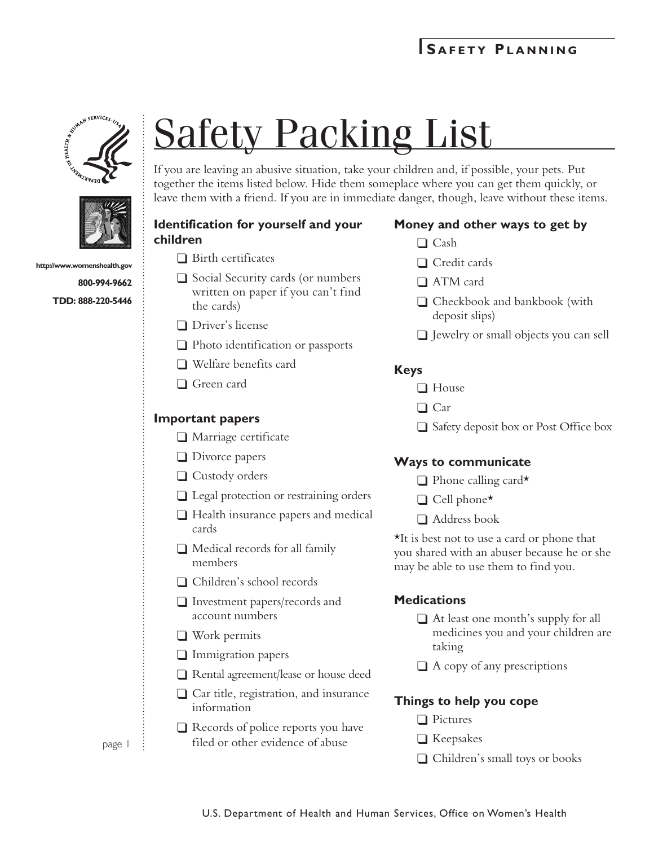



**http://www.womenshealth.gov 800-994-9662**

**TDD: 888-220-5446**

# Safety Packing List

If you are leaving an abusive situation, take your children and, if possible, your pets. Put together the items listed below. Hide them someplace where you can get them quickly, or leave them with a friend. If you are in immediate danger, though, leave without these items.

### **Identification for yourself and your children**

- $\Box$  Birth certificates
- $\Box$  Social Security cards (or numbers written on paper if you can't find the cards)
- $\Box$  Driver's license
- $\Box$  Photo identification or passports
- $\Box$  Welfare benefits card
- $\Box$  Green card

## **Important papers**

- $\Box$  Marriage certificate
- $\Box$  Divorce papers
- $\Box$  Custody orders
- $\Box$  Legal protection or restraining orders
- $\Box$  Health insurance papers and medical cards
- $\Box$  Medical records for all family members
- □ Children's school records
- $\Box$  Investment papers/records and account numbers
- $\Box$  Work permits
- $\Box$  Immigration papers
- $\Box$  Rental agreement/lease or house deed
- $\Box$  Car title, registration, and insurance information
- $\Box$  Records of police reports you have filed or other evidence of abuse

# **Money and other ways to get by**

- $\Box$  Cash
- $\Box$  Credit cards
- $\Box$  ATM card
- $\Box$  Checkbook and bankbook (with deposit slips)
- $\Box$  Jewelry or small objects you can sell

#### **Keys**

- $\Box$  House
- $\Box$  Car
- $\Box$  Safety deposit box or Post Office box

#### **Ways to communicate**

- $\Box$  Phone calling card\*
- $\Box$  Cell phone\*
- $\Box$  Address book

\*It is best not to use a card or phone that you shared with an abuser because he or she may be able to use them to find you.

#### **Medications**

- $\Box$  At least one month's supply for all medicines you and your children are taking
- $\Box$  A copy of any prescriptions

# **Things to help you cope**

- $\Box$  Pictures
- $\Box$  Keepsakes
- $\Box$  Children's small toys or books